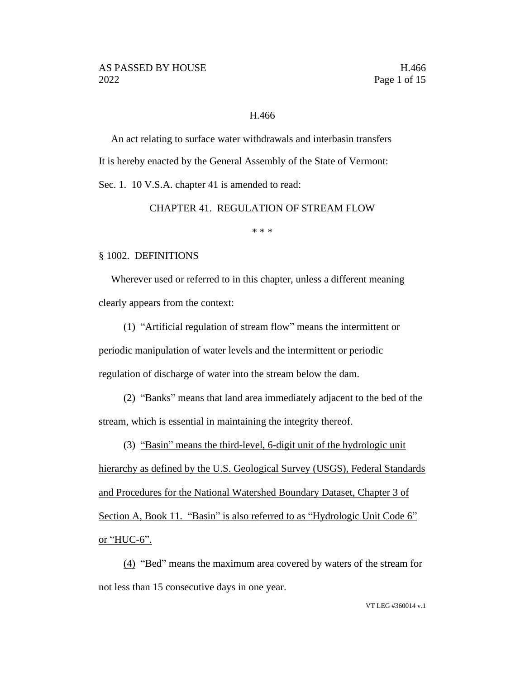#### H.466

An act relating to surface water withdrawals and interbasin transfers It is hereby enacted by the General Assembly of the State of Vermont:

Sec. 1. 10 V.S.A. chapter 41 is amended to read:

CHAPTER 41. REGULATION OF STREAM FLOW

\* \* \*

#### § 1002. DEFINITIONS

Wherever used or referred to in this chapter, unless a different meaning clearly appears from the context:

(1) "Artificial regulation of stream flow" means the intermittent or periodic manipulation of water levels and the intermittent or periodic regulation of discharge of water into the stream below the dam.

(2) "Banks" means that land area immediately adjacent to the bed of the stream, which is essential in maintaining the integrity thereof.

(3) "Basin" means the third-level, 6-digit unit of the hydrologic unit hierarchy as defined by the U.S. Geological Survey (USGS), Federal Standards and Procedures for the National Watershed Boundary Dataset, Chapter 3 of Section A, Book 11. "Basin" is also referred to as "Hydrologic Unit Code 6" or "HUC-6".

(4) "Bed" means the maximum area covered by waters of the stream for not less than 15 consecutive days in one year.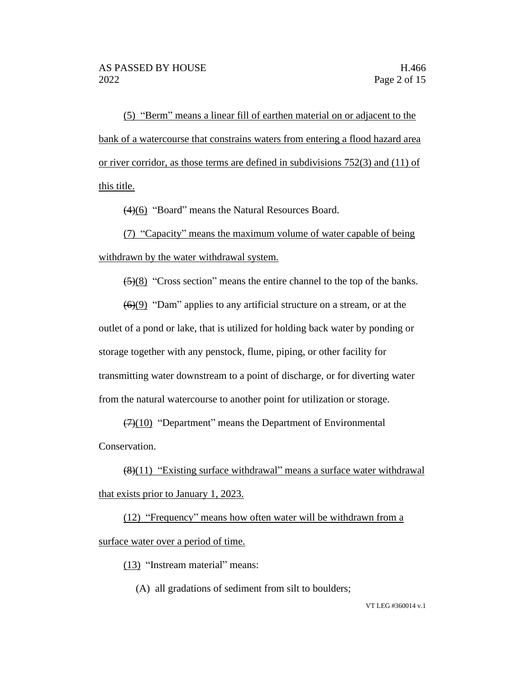(5) "Berm" means a linear fill of earthen material on or adjacent to the bank of a watercourse that constrains waters from entering a flood hazard area or river corridor, as those terms are defined in subdivisions 752(3) and (11) of this title.

(4)(6) "Board" means the Natural Resources Board.

(7) "Capacity" means the maximum volume of water capable of being withdrawn by the water withdrawal system.

(5)(8) "Cross section" means the entire channel to the top of the banks.

 $\left(\frac{6}{9}\right)$  "Dam" applies to any artificial structure on a stream, or at the outlet of a pond or lake, that is utilized for holding back water by ponding or storage together with any penstock, flume, piping, or other facility for transmitting water downstream to a point of discharge, or for diverting water from the natural watercourse to another point for utilization or storage.

 $(7)(10)$  "Department" means the Department of Environmental Conservation.

 $(8)(11)$  "Existing surface withdrawal" means a surface water withdrawal that exists prior to January 1, 2023.

(12) "Frequency" means how often water will be withdrawn from a surface water over a period of time.

(13) "Instream material" means:

(A) all gradations of sediment from silt to boulders;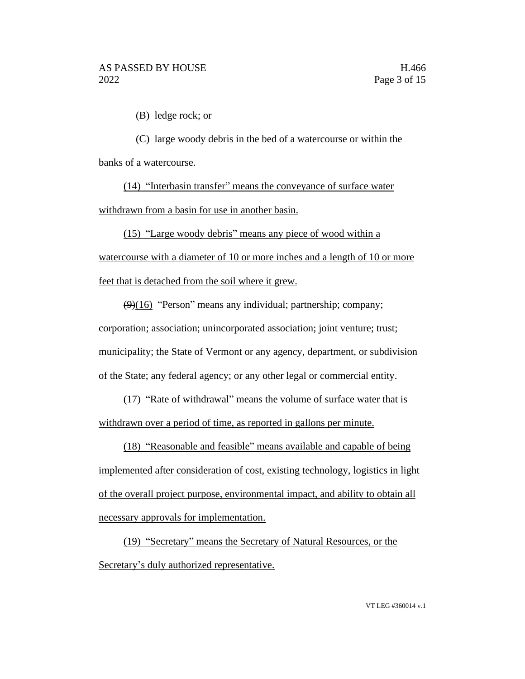(B) ledge rock; or

(C) large woody debris in the bed of a watercourse or within the banks of a watercourse.

(14) "Interbasin transfer" means the conveyance of surface water withdrawn from a basin for use in another basin.

(15) "Large woody debris" means any piece of wood within a watercourse with a diameter of 10 or more inches and a length of 10 or more feet that is detached from the soil where it grew.

 $(9)(16)$  "Person" means any individual; partnership; company; corporation; association; unincorporated association; joint venture; trust; municipality; the State of Vermont or any agency, department, or subdivision of the State; any federal agency; or any other legal or commercial entity.

(17) "Rate of withdrawal" means the volume of surface water that is withdrawn over a period of time, as reported in gallons per minute.

(18) "Reasonable and feasible" means available and capable of being implemented after consideration of cost, existing technology, logistics in light of the overall project purpose, environmental impact, and ability to obtain all necessary approvals for implementation.

(19) "Secretary" means the Secretary of Natural Resources, or the Secretary's duly authorized representative.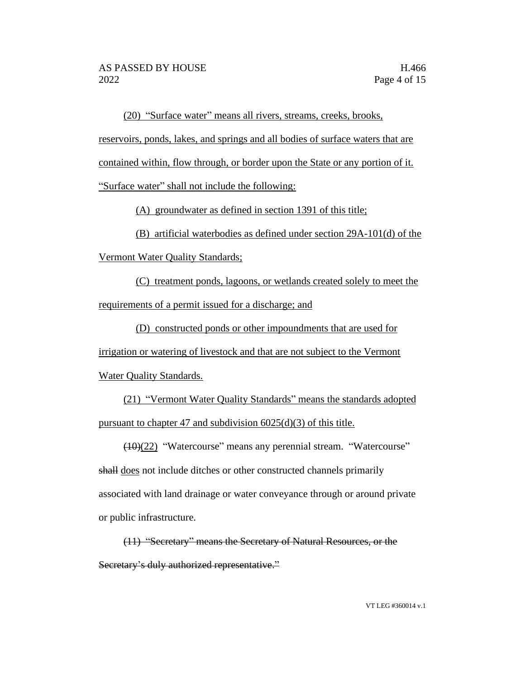(20) "Surface water" means all rivers, streams, creeks, brooks,

reservoirs, ponds, lakes, and springs and all bodies of surface waters that are

contained within, flow through, or border upon the State or any portion of it.

"Surface water" shall not include the following:

(A) groundwater as defined in section 1391 of this title;

(B) artificial waterbodies as defined under section 29A-101(d) of the

Vermont Water Quality Standards;

(C) treatment ponds, lagoons, or wetlands created solely to meet the requirements of a permit issued for a discharge; and

(D) constructed ponds or other impoundments that are used for irrigation or watering of livestock and that are not subject to the Vermont Water Quality Standards.

(21) "Vermont Water Quality Standards" means the standards adopted pursuant to chapter 47 and subdivision 6025(d)(3) of this title.

(10)(22) "Watercourse" means any perennial stream. "Watercourse"

shall does not include ditches or other constructed channels primarily associated with land drainage or water conveyance through or around private or public infrastructure.

(11) "Secretary" means the Secretary of Natural Resources, or the Secretary's duly authorized representative."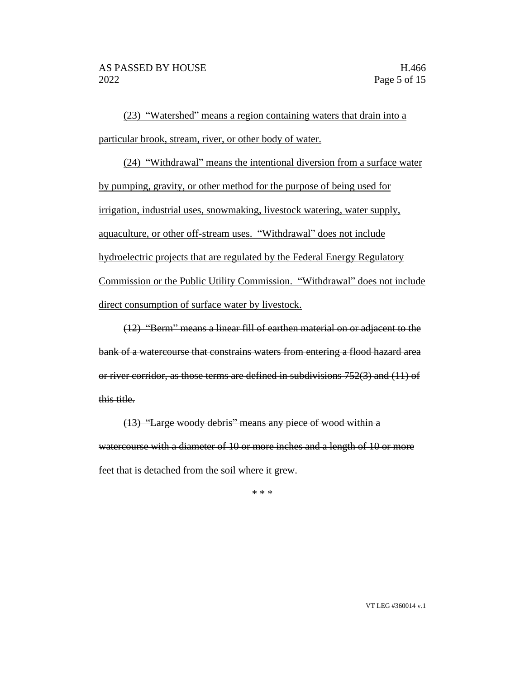(23) "Watershed" means a region containing waters that drain into a particular brook, stream, river, or other body of water.

(24) "Withdrawal" means the intentional diversion from a surface water by pumping, gravity, or other method for the purpose of being used for irrigation, industrial uses, snowmaking, livestock watering, water supply, aquaculture, or other off-stream uses. "Withdrawal" does not include hydroelectric projects that are regulated by the Federal Energy Regulatory Commission or the Public Utility Commission. "Withdrawal" does not include direct consumption of surface water by livestock.

(12) "Berm" means a linear fill of earthen material on or adjacent to the bank of a watercourse that constrains waters from entering a flood hazard area or river corridor, as those terms are defined in subdivisions 752(3) and (11) of this title.

(13) "Large woody debris" means any piece of wood within a watercourse with a diameter of 10 or more inches and a length of 10 or more feet that is detached from the soil where it grew.

\* \* \*

VT LEG #360014 v.1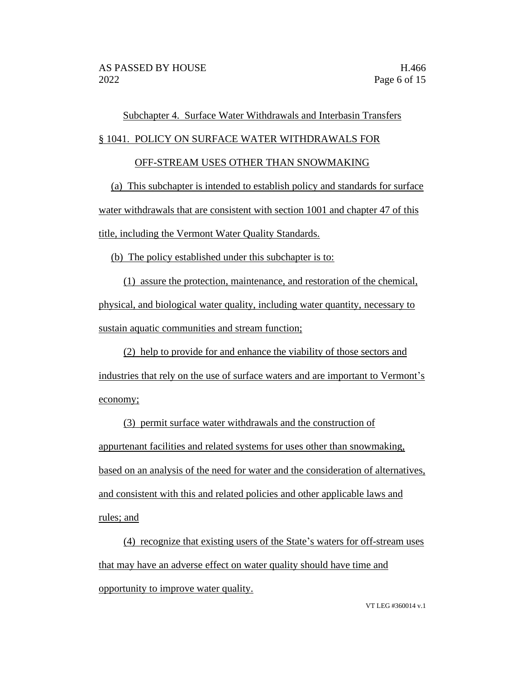# Subchapter 4. Surface Water Withdrawals and Interbasin Transfers

## § 1041. POLICY ON SURFACE WATER WITHDRAWALS FOR

## OFF-STREAM USES OTHER THAN SNOWMAKING

(a) This subchapter is intended to establish policy and standards for surface water withdrawals that are consistent with section 1001 and chapter 47 of this title, including the Vermont Water Quality Standards.

(b) The policy established under this subchapter is to:

(1) assure the protection, maintenance, and restoration of the chemical, physical, and biological water quality, including water quantity, necessary to sustain aquatic communities and stream function;

(2) help to provide for and enhance the viability of those sectors and industries that rely on the use of surface waters and are important to Vermont's economy;

(3) permit surface water withdrawals and the construction of appurtenant facilities and related systems for uses other than snowmaking, based on an analysis of the need for water and the consideration of alternatives, and consistent with this and related policies and other applicable laws and rules; and

(4) recognize that existing users of the State's waters for off-stream uses that may have an adverse effect on water quality should have time and opportunity to improve water quality.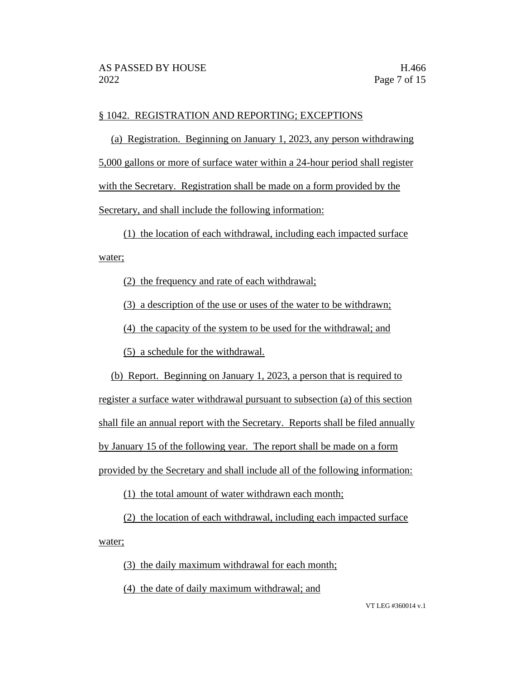# § 1042. REGISTRATION AND REPORTING; EXCEPTIONS

(a) Registration. Beginning on January 1, 2023, any person withdrawing 5,000 gallons or more of surface water within a 24-hour period shall register with the Secretary. Registration shall be made on a form provided by the Secretary, and shall include the following information:

(1) the location of each withdrawal, including each impacted surface water;

(2) the frequency and rate of each withdrawal;

(3) a description of the use or uses of the water to be withdrawn;

(4) the capacity of the system to be used for the withdrawal; and

(5) a schedule for the withdrawal.

(b) Report. Beginning on January 1, 2023, a person that is required to register a surface water withdrawal pursuant to subsection (a) of this section shall file an annual report with the Secretary. Reports shall be filed annually by January 15 of the following year. The report shall be made on a form provided by the Secretary and shall include all of the following information:

(1) the total amount of water withdrawn each month;

(2) the location of each withdrawal, including each impacted surface water;

(3) the daily maximum withdrawal for each month;

(4) the date of daily maximum withdrawal; and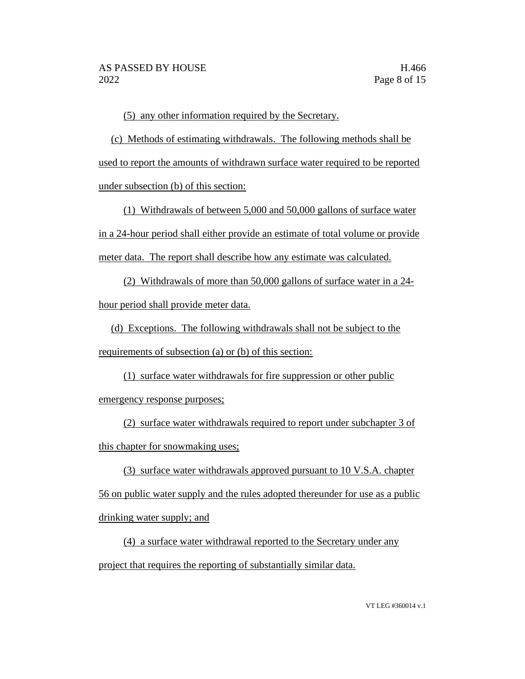(5) any other information required by the Secretary.

(c) Methods of estimating withdrawals. The following methods shall be used to report the amounts of withdrawn surface water required to be reported under subsection (b) of this section:

(1) Withdrawals of between 5,000 and 50,000 gallons of surface water in a 24-hour period shall either provide an estimate of total volume or provide meter data. The report shall describe how any estimate was calculated.

(2) Withdrawals of more than 50,000 gallons of surface water in a 24 hour period shall provide meter data.

(d) Exceptions. The following withdrawals shall not be subject to the requirements of subsection (a) or (b) of this section:

(1) surface water withdrawals for fire suppression or other public emergency response purposes;

(2) surface water withdrawals required to report under subchapter 3 of this chapter for snowmaking uses;

(3) surface water withdrawals approved pursuant to 10 V.S.A. chapter 56 on public water supply and the rules adopted thereunder for use as a public drinking water supply; and

(4) a surface water withdrawal reported to the Secretary under any project that requires the reporting of substantially similar data.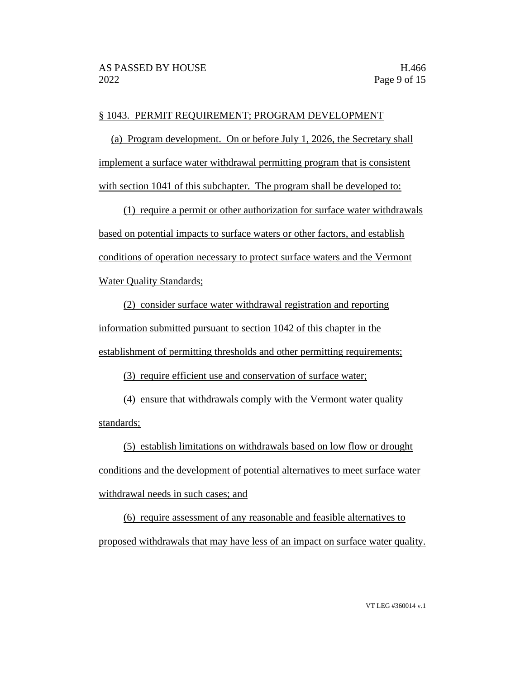#### § 1043. PERMIT REQUIREMENT; PROGRAM DEVELOPMENT

(a) Program development. On or before July 1, 2026, the Secretary shall implement a surface water withdrawal permitting program that is consistent with section 1041 of this subchapter. The program shall be developed to:

(1) require a permit or other authorization for surface water withdrawals based on potential impacts to surface waters or other factors, and establish conditions of operation necessary to protect surface waters and the Vermont Water Quality Standards;

(2) consider surface water withdrawal registration and reporting information submitted pursuant to section 1042 of this chapter in the establishment of permitting thresholds and other permitting requirements;

(3) require efficient use and conservation of surface water;

(4) ensure that withdrawals comply with the Vermont water quality standards;

(5) establish limitations on withdrawals based on low flow or drought conditions and the development of potential alternatives to meet surface water withdrawal needs in such cases; and

(6) require assessment of any reasonable and feasible alternatives to proposed withdrawals that may have less of an impact on surface water quality.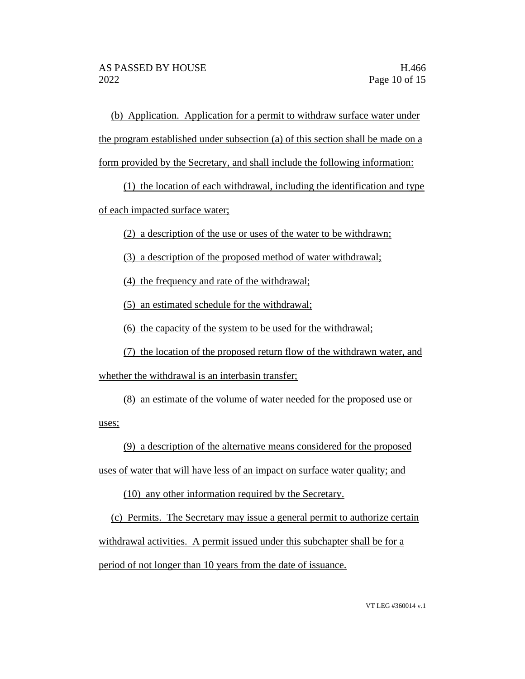(b) Application. Application for a permit to withdraw surface water under the program established under subsection (a) of this section shall be made on a form provided by the Secretary, and shall include the following information:

(1) the location of each withdrawal, including the identification and type

of each impacted surface water;

(2) a description of the use or uses of the water to be withdrawn;

(3) a description of the proposed method of water withdrawal;

(4) the frequency and rate of the withdrawal;

(5) an estimated schedule for the withdrawal;

(6) the capacity of the system to be used for the withdrawal;

(7) the location of the proposed return flow of the withdrawn water, and whether the withdrawal is an interbasin transfer;

(8) an estimate of the volume of water needed for the proposed use or

uses;

(9) a description of the alternative means considered for the proposed

uses of water that will have less of an impact on surface water quality; and

(10) any other information required by the Secretary.

(c) Permits. The Secretary may issue a general permit to authorize certain withdrawal activities. A permit issued under this subchapter shall be for a period of not longer than 10 years from the date of issuance.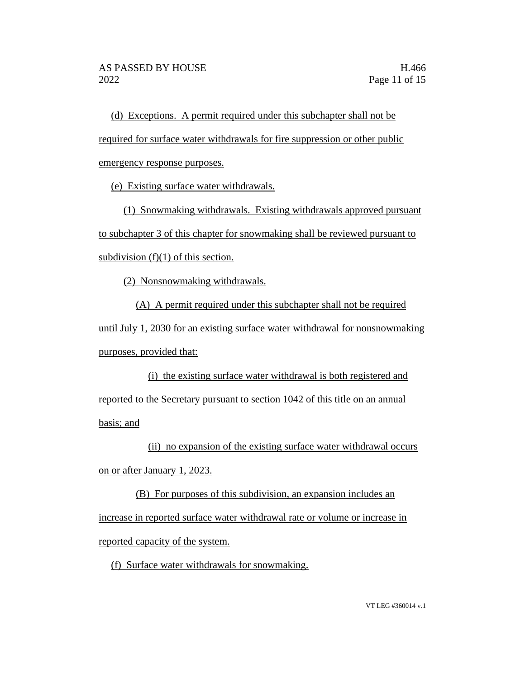(d) Exceptions. A permit required under this subchapter shall not be required for surface water withdrawals for fire suppression or other public emergency response purposes.

(e) Existing surface water withdrawals.

(1) Snowmaking withdrawals. Existing withdrawals approved pursuant to subchapter 3 of this chapter for snowmaking shall be reviewed pursuant to subdivision  $(f)(1)$  of this section.

(2) Nonsnowmaking withdrawals.

(A) A permit required under this subchapter shall not be required

until July 1, 2030 for an existing surface water withdrawal for nonsnowmaking purposes, provided that:

(i) the existing surface water withdrawal is both registered and reported to the Secretary pursuant to section 1042 of this title on an annual basis; and

(ii) no expansion of the existing surface water withdrawal occurs on or after January 1, 2023.

(B) For purposes of this subdivision, an expansion includes an increase in reported surface water withdrawal rate or volume or increase in reported capacity of the system.

(f) Surface water withdrawals for snowmaking.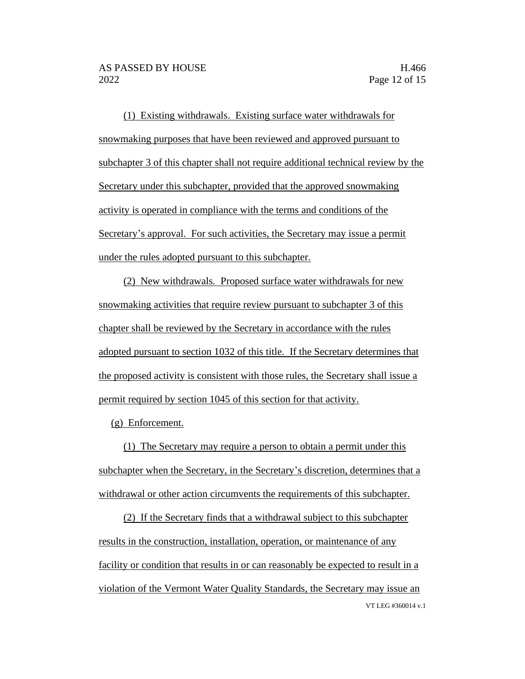(1) Existing withdrawals. Existing surface water withdrawals for snowmaking purposes that have been reviewed and approved pursuant to subchapter 3 of this chapter shall not require additional technical review by the Secretary under this subchapter, provided that the approved snowmaking activity is operated in compliance with the terms and conditions of the Secretary's approval. For such activities, the Secretary may issue a permit under the rules adopted pursuant to this subchapter.

(2) New withdrawals. Proposed surface water withdrawals for new snowmaking activities that require review pursuant to subchapter 3 of this chapter shall be reviewed by the Secretary in accordance with the rules adopted pursuant to section 1032 of this title. If the Secretary determines that the proposed activity is consistent with those rules, the Secretary shall issue a permit required by section 1045 of this section for that activity.

(g) Enforcement.

(1) The Secretary may require a person to obtain a permit under this subchapter when the Secretary, in the Secretary's discretion, determines that a withdrawal or other action circumvents the requirements of this subchapter.

VT LEG #360014 v.1 (2) If the Secretary finds that a withdrawal subject to this subchapter results in the construction, installation, operation, or maintenance of any facility or condition that results in or can reasonably be expected to result in a violation of the Vermont Water Quality Standards, the Secretary may issue an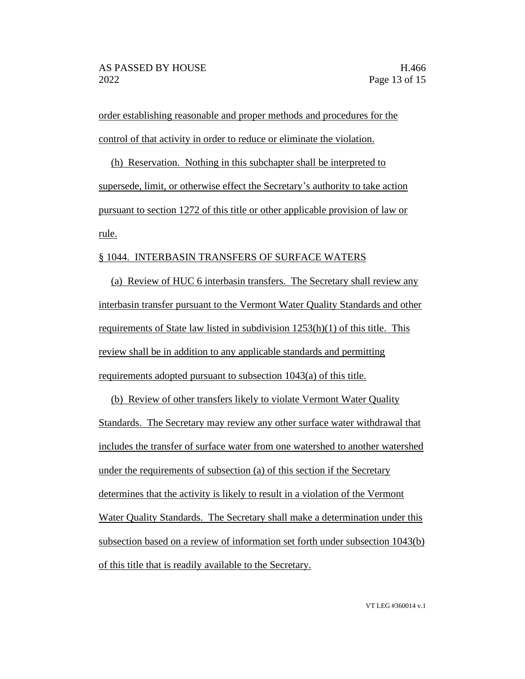order establishing reasonable and proper methods and procedures for the control of that activity in order to reduce or eliminate the violation.

(h) Reservation. Nothing in this subchapter shall be interpreted to supersede, limit, or otherwise effect the Secretary's authority to take action pursuant to section 1272 of this title or other applicable provision of law or rule.

#### § 1044. INTERBASIN TRANSFERS OF SURFACE WATERS

(a) Review of HUC 6 interbasin transfers. The Secretary shall review any interbasin transfer pursuant to the Vermont Water Quality Standards and other requirements of State law listed in subdivision 1253(h)(1) of this title. This review shall be in addition to any applicable standards and permitting requirements adopted pursuant to subsection 1043(a) of this title.

(b) Review of other transfers likely to violate Vermont Water Quality Standards. The Secretary may review any other surface water withdrawal that includes the transfer of surface water from one watershed to another watershed under the requirements of subsection (a) of this section if the Secretary determines that the activity is likely to result in a violation of the Vermont Water Quality Standards. The Secretary shall make a determination under this subsection based on a review of information set forth under subsection 1043(b) of this title that is readily available to the Secretary.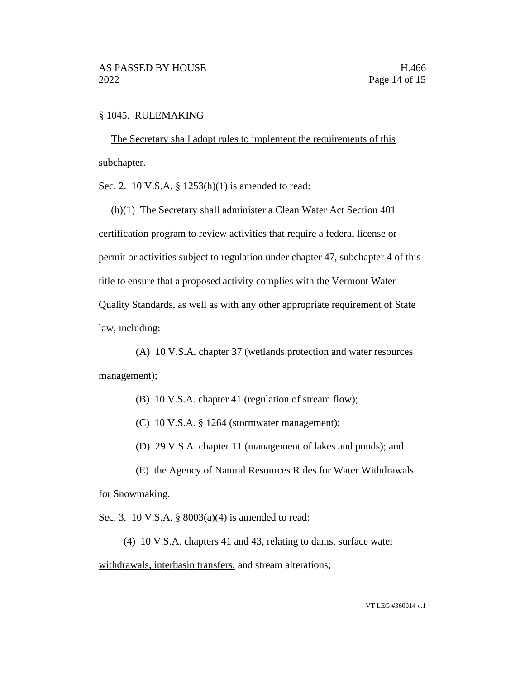#### § 1045. RULEMAKING

The Secretary shall adopt rules to implement the requirements of this subchapter.

Sec. 2. 10 V.S.A. § 1253(h)(1) is amended to read:

(h)(1) The Secretary shall administer a Clean Water Act Section 401 certification program to review activities that require a federal license or permit or activities subject to regulation under chapter 47, subchapter 4 of this title to ensure that a proposed activity complies with the Vermont Water Quality Standards, as well as with any other appropriate requirement of State law, including:

(A) 10 V.S.A. chapter 37 (wetlands protection and water resources management);

- (B) 10 V.S.A. chapter 41 (regulation of stream flow);
- (C) 10 V.S.A. § 1264 (stormwater management);
- (D) 29 V.S.A. chapter 11 (management of lakes and ponds); and

(E) the Agency of Natural Resources Rules for Water Withdrawals for Snowmaking.

Sec. 3. 10 V.S.A. § 8003(a)(4) is amended to read:

(4) 10 V.S.A. chapters 41 and 43, relating to dams, surface water

withdrawals, interbasin transfers, and stream alterations;